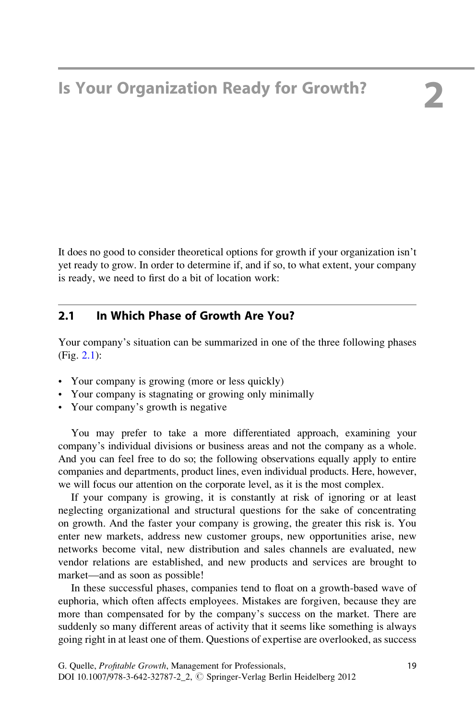Is Your Organization Ready for Growth?

It does no good to consider theoretical options for growth if your organization isn't yet ready to grow. In order to determine if, and if so, to what extent, your company is ready, we need to first do a bit of location work:

# 2.1 In Which Phase of Growth Are You?

Your company's situation can be summarized in one of the three following phases (Fig. [2.1](#page-1-0)):

- Your company is growing (more or less quickly)
- Your company is stagnating or growing only minimally
- Your company's growth is negative

You may prefer to take a more differentiated approach, examining your company's individual divisions or business areas and not the company as a whole. And you can feel free to do so; the following observations equally apply to entire companies and departments, product lines, even individual products. Here, however, we will focus our attention on the corporate level, as it is the most complex.

If your company is growing, it is constantly at risk of ignoring or at least neglecting organizational and structural questions for the sake of concentrating on growth. And the faster your company is growing, the greater this risk is. You enter new markets, address new customer groups, new opportunities arise, new networks become vital, new distribution and sales channels are evaluated, new vendor relations are established, and new products and services are brought to market—and as soon as possible!

In these successful phases, companies tend to float on a growth-based wave of euphoria, which often affects employees. Mistakes are forgiven, because they are more than compensated for by the company's success on the market. There are suddenly so many different areas of activity that it seems like something is always going right in at least one of them. Questions of expertise are overlooked, as success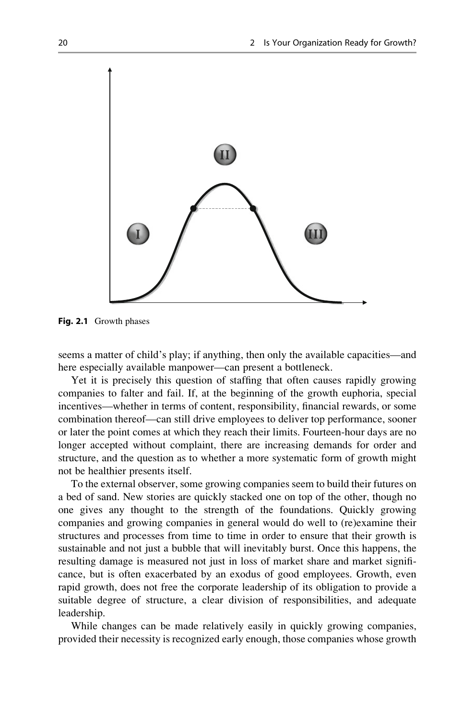<span id="page-1-0"></span>

Fig. 2.1 Growth phases

seems a matter of child's play; if anything, then only the available capacities—and here especially available manpower—can present a bottleneck.

Yet it is precisely this question of staffing that often causes rapidly growing companies to falter and fail. If, at the beginning of the growth euphoria, special incentives—whether in terms of content, responsibility, financial rewards, or some combination thereof—can still drive employees to deliver top performance, sooner or later the point comes at which they reach their limits. Fourteen-hour days are no longer accepted without complaint, there are increasing demands for order and structure, and the question as to whether a more systematic form of growth might not be healthier presents itself.

To the external observer, some growing companies seem to build their futures on a bed of sand. New stories are quickly stacked one on top of the other, though no one gives any thought to the strength of the foundations. Quickly growing companies and growing companies in general would do well to (re)examine their structures and processes from time to time in order to ensure that their growth is sustainable and not just a bubble that will inevitably burst. Once this happens, the resulting damage is measured not just in loss of market share and market significance, but is often exacerbated by an exodus of good employees. Growth, even rapid growth, does not free the corporate leadership of its obligation to provide a suitable degree of structure, a clear division of responsibilities, and adequate leadership.

While changes can be made relatively easily in quickly growing companies, provided their necessity is recognized early enough, those companies whose growth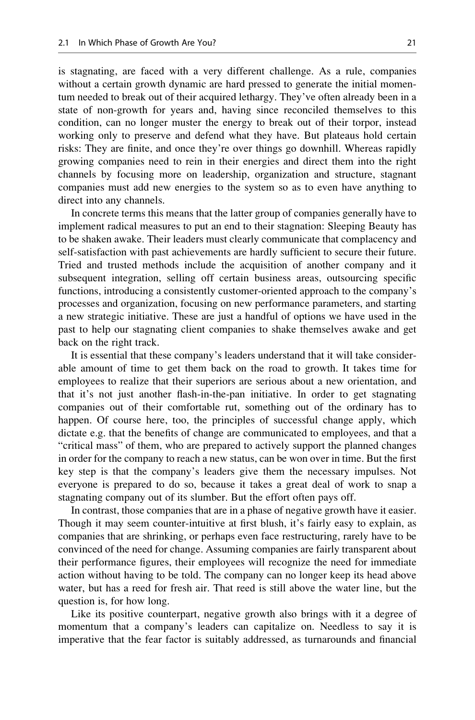is stagnating, are faced with a very different challenge. As a rule, companies without a certain growth dynamic are hard pressed to generate the initial momentum needed to break out of their acquired lethargy. They've often already been in a state of non-growth for years and, having since reconciled themselves to this condition, can no longer muster the energy to break out of their torpor, instead working only to preserve and defend what they have. But plateaus hold certain risks: They are finite, and once they're over things go downhill. Whereas rapidly growing companies need to rein in their energies and direct them into the right channels by focusing more on leadership, organization and structure, stagnant companies must add new energies to the system so as to even have anything to direct into any channels.

In concrete terms this means that the latter group of companies generally have to implement radical measures to put an end to their stagnation: Sleeping Beauty has to be shaken awake. Their leaders must clearly communicate that complacency and self-satisfaction with past achievements are hardly sufficient to secure their future. Tried and trusted methods include the acquisition of another company and it subsequent integration, selling off certain business areas, outsourcing specific functions, introducing a consistently customer-oriented approach to the company's processes and organization, focusing on new performance parameters, and starting a new strategic initiative. These are just a handful of options we have used in the past to help our stagnating client companies to shake themselves awake and get back on the right track.

It is essential that these company's leaders understand that it will take considerable amount of time to get them back on the road to growth. It takes time for employees to realize that their superiors are serious about a new orientation, and that it's not just another flash-in-the-pan initiative. In order to get stagnating companies out of their comfortable rut, something out of the ordinary has to happen. Of course here, too, the principles of successful change apply, which dictate e.g. that the benefits of change are communicated to employees, and that a "critical mass" of them, who are prepared to actively support the planned changes in order for the company to reach a new status, can be won over in time. But the first key step is that the company's leaders give them the necessary impulses. Not everyone is prepared to do so, because it takes a great deal of work to snap a stagnating company out of its slumber. But the effort often pays off.

In contrast, those companies that are in a phase of negative growth have it easier. Though it may seem counter-intuitive at first blush, it's fairly easy to explain, as companies that are shrinking, or perhaps even face restructuring, rarely have to be convinced of the need for change. Assuming companies are fairly transparent about their performance figures, their employees will recognize the need for immediate action without having to be told. The company can no longer keep its head above water, but has a reed for fresh air. That reed is still above the water line, but the question is, for how long.

Like its positive counterpart, negative growth also brings with it a degree of momentum that a company's leaders can capitalize on. Needless to say it is imperative that the fear factor is suitably addressed, as turnarounds and financial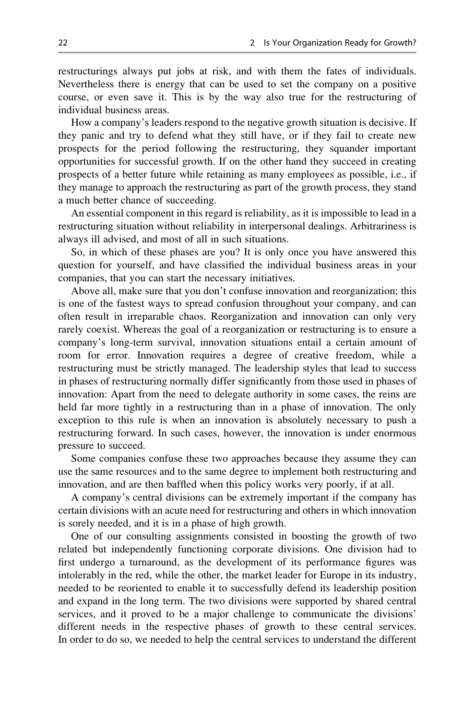restructurings always put jobs at risk, and with them the fates of individuals. Nevertheless there is energy that can be used to set the company on a positive course, or even save it. This is by the way also true for the restructuring of individual business areas.

How a company's leaders respond to the negative growth situation is decisive. If they panic and try to defend what they still have, or if they fail to create new prospects for the period following the restructuring, they squander important opportunities for successful growth. If on the other hand they succeed in creating prospects of a better future while retaining as many employees as possible, i.e., if they manage to approach the restructuring as part of the growth process, they stand a much better chance of succeeding.

An essential component in this regard is reliability, as it is impossible to lead in a restructuring situation without reliability in interpersonal dealings. Arbitrariness is always ill advised, and most of all in such situations.

So, in which of these phases are you? It is only once you have answered this question for yourself, and have classified the individual business areas in your companies, that you can start the necessary initiatives.

Above all, make sure that you don't confuse innovation and reorganization; this is one of the fastest ways to spread confusion throughout your company, and can often result in irreparable chaos. Reorganization and innovation can only very rarely coexist. Whereas the goal of a reorganization or restructuring is to ensure a company's long-term survival, innovation situations entail a certain amount of room for error. Innovation requires a degree of creative freedom, while a restructuring must be strictly managed. The leadership styles that lead to success in phases of restructuring normally differ significantly from those used in phases of innovation: Apart from the need to delegate authority in some cases, the reins are held far more tightly in a restructuring than in a phase of innovation. The only exception to this rule is when an innovation is absolutely necessary to push a restructuring forward. In such cases, however, the innovation is under enormous pressure to succeed.

Some companies confuse these two approaches because they assume they can use the same resources and to the same degree to implement both restructuring and innovation, and are then baffled when this policy works very poorly, if at all.

A company's central divisions can be extremely important if the company has certain divisions with an acute need for restructuring and others in which innovation is sorely needed, and it is in a phase of high growth.

One of our consulting assignments consisted in boosting the growth of two related but independently functioning corporate divisions. One division had to first undergo a turnaround, as the development of its performance figures was intolerably in the red, while the other, the market leader for Europe in its industry, needed to be reoriented to enable it to successfully defend its leadership position and expand in the long term. The two divisions were supported by shared central services, and it proved to be a major challenge to communicate the divisions' different needs in the respective phases of growth to these central services. In order to do so, we needed to help the central services to understand the different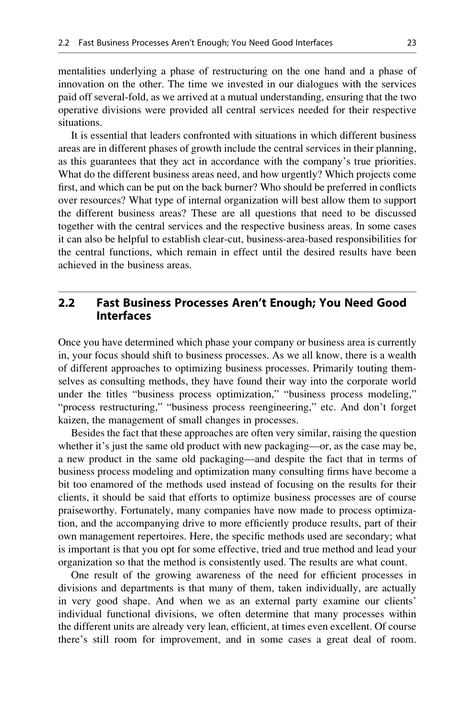mentalities underlying a phase of restructuring on the one hand and a phase of innovation on the other. The time we invested in our dialogues with the services paid off several-fold, as we arrived at a mutual understanding, ensuring that the two operative divisions were provided all central services needed for their respective situations.

It is essential that leaders confronted with situations in which different business areas are in different phases of growth include the central services in their planning, as this guarantees that they act in accordance with the company's true priorities. What do the different business areas need, and how urgently? Which projects come first, and which can be put on the back burner? Who should be preferred in conflicts over resources? What type of internal organization will best allow them to support the different business areas? These are all questions that need to be discussed together with the central services and the respective business areas. In some cases it can also be helpful to establish clear-cut, business-area-based responsibilities for the central functions, which remain in effect until the desired results have been achieved in the business areas.

## 2.2 Fast Business Processes Aren't Enough; You Need Good Interfaces

Once you have determined which phase your company or business area is currently in, your focus should shift to business processes. As we all know, there is a wealth of different approaches to optimizing business processes. Primarily touting themselves as consulting methods, they have found their way into the corporate world under the titles "business process optimization," "business process modeling," "process restructuring," "business process reengineering," etc. And don't forget kaizen, the management of small changes in processes.

Besides the fact that these approaches are often very similar, raising the question whether it's just the same old product with new packaging—or, as the case may be, a new product in the same old packaging—and despite the fact that in terms of business process modeling and optimization many consulting firms have become a bit too enamored of the methods used instead of focusing on the results for their clients, it should be said that efforts to optimize business processes are of course praiseworthy. Fortunately, many companies have now made to process optimization, and the accompanying drive to more efficiently produce results, part of their own management repertoires. Here, the specific methods used are secondary; what is important is that you opt for some effective, tried and true method and lead your organization so that the method is consistently used. The results are what count.

One result of the growing awareness of the need for efficient processes in divisions and departments is that many of them, taken individually, are actually in very good shape. And when we as an external party examine our clients' individual functional divisions, we often determine that many processes within the different units are already very lean, efficient, at times even excellent. Of course there's still room for improvement, and in some cases a great deal of room.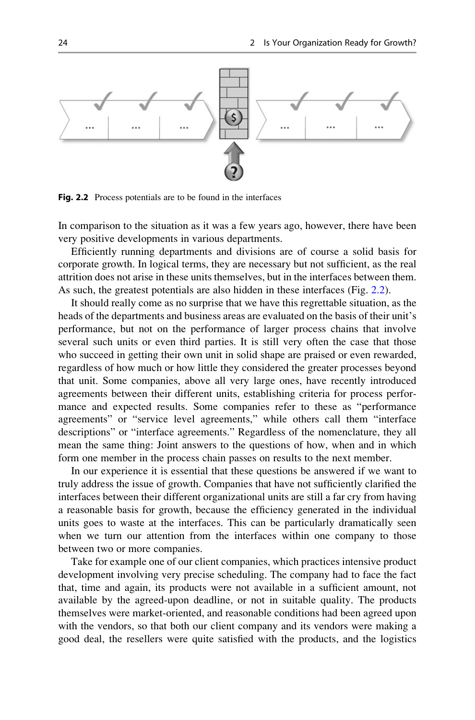

Fig. 2.2 Process potentials are to be found in the interfaces

In comparison to the situation as it was a few years ago, however, there have been very positive developments in various departments.

Efficiently running departments and divisions are of course a solid basis for corporate growth. In logical terms, they are necessary but not sufficient, as the real attrition does not arise in these units themselves, but in the interfaces between them. As such, the greatest potentials are also hidden in these interfaces (Fig. 2.2).

It should really come as no surprise that we have this regrettable situation, as the heads of the departments and business areas are evaluated on the basis of their unit's performance, but not on the performance of larger process chains that involve several such units or even third parties. It is still very often the case that those who succeed in getting their own unit in solid shape are praised or even rewarded, regardless of how much or how little they considered the greater processes beyond that unit. Some companies, above all very large ones, have recently introduced agreements between their different units, establishing criteria for process performance and expected results. Some companies refer to these as "performance agreements" or "service level agreements," while others call them "interface descriptions" or "interface agreements." Regardless of the nomenclature, they all mean the same thing: Joint answers to the questions of how, when and in which form one member in the process chain passes on results to the next member.

In our experience it is essential that these questions be answered if we want to truly address the issue of growth. Companies that have not sufficiently clarified the interfaces between their different organizational units are still a far cry from having a reasonable basis for growth, because the efficiency generated in the individual units goes to waste at the interfaces. This can be particularly dramatically seen when we turn our attention from the interfaces within one company to those between two or more companies.

Take for example one of our client companies, which practices intensive product development involving very precise scheduling. The company had to face the fact that, time and again, its products were not available in a sufficient amount, not available by the agreed-upon deadline, or not in suitable quality. The products themselves were market-oriented, and reasonable conditions had been agreed upon with the vendors, so that both our client company and its vendors were making a good deal, the resellers were quite satisfied with the products, and the logistics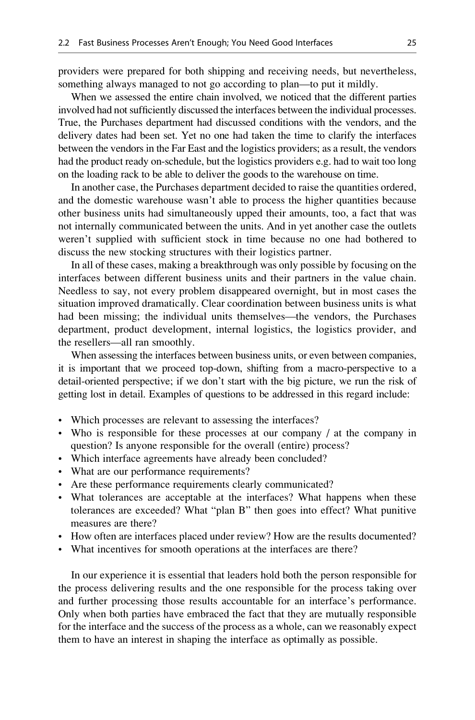providers were prepared for both shipping and receiving needs, but nevertheless, something always managed to not go according to plan—to put it mildly.

When we assessed the entire chain involved, we noticed that the different parties involved had not sufficiently discussed the interfaces between the individual processes. True, the Purchases department had discussed conditions with the vendors, and the delivery dates had been set. Yet no one had taken the time to clarify the interfaces between the vendors in the Far East and the logistics providers; as a result, the vendors had the product ready on-schedule, but the logistics providers e.g. had to wait too long on the loading rack to be able to deliver the goods to the warehouse on time.

In another case, the Purchases department decided to raise the quantities ordered, and the domestic warehouse wasn't able to process the higher quantities because other business units had simultaneously upped their amounts, too, a fact that was not internally communicated between the units. And in yet another case the outlets weren't supplied with sufficient stock in time because no one had bothered to discuss the new stocking structures with their logistics partner.

In all of these cases, making a breakthrough was only possible by focusing on the interfaces between different business units and their partners in the value chain. Needless to say, not every problem disappeared overnight, but in most cases the situation improved dramatically. Clear coordination between business units is what had been missing; the individual units themselves—the vendors, the Purchases department, product development, internal logistics, the logistics provider, and the resellers—all ran smoothly.

When assessing the interfaces between business units, or even between companies, it is important that we proceed top-down, shifting from a macro-perspective to a detail-oriented perspective; if we don't start with the big picture, we run the risk of getting lost in detail. Examples of questions to be addressed in this regard include:

- Which processes are relevant to assessing the interfaces?
- Who is responsible for these processes at our company / at the company in question? Is anyone responsible for the overall (entire) process?
- Which interface agreements have already been concluded?
- What are our performance requirements?
- Are these performance requirements clearly communicated?
- What tolerances are acceptable at the interfaces? What happens when these tolerances are exceeded? What "plan B" then goes into effect? What punitive measures are there?
- How often are interfaces placed under review? How are the results documented?
- What incentives for smooth operations at the interfaces are there?

In our experience it is essential that leaders hold both the person responsible for the process delivering results and the one responsible for the process taking over and further processing those results accountable for an interface's performance. Only when both parties have embraced the fact that they are mutually responsible for the interface and the success of the process as a whole, can we reasonably expect them to have an interest in shaping the interface as optimally as possible.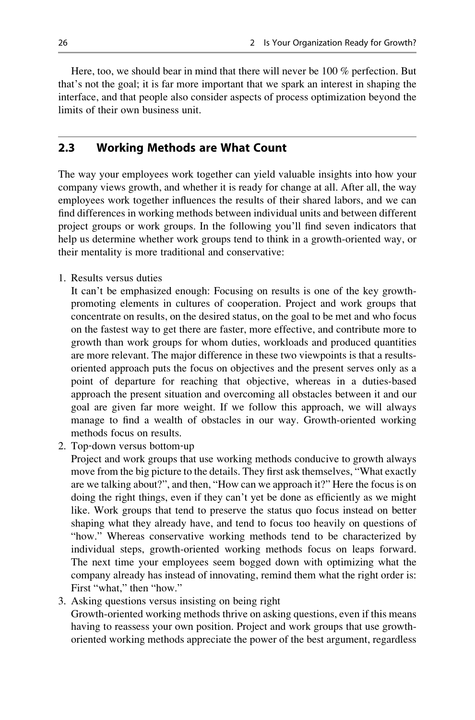Here, too, we should bear in mind that there will never be 100 % perfection. But that's not the goal; it is far more important that we spark an interest in shaping the interface, and that people also consider aspects of process optimization beyond the limits of their own business unit.

### 2.3 Working Methods are What Count

The way your employees work together can yield valuable insights into how your company views growth, and whether it is ready for change at all. After all, the way employees work together influences the results of their shared labors, and we can find differences in working methods between individual units and between different project groups or work groups. In the following you'll find seven indicators that help us determine whether work groups tend to think in a growth-oriented way, or their mentality is more traditional and conservative:

1. Results versus duties

It can't be emphasized enough: Focusing on results is one of the key growthpromoting elements in cultures of cooperation. Project and work groups that concentrate on results, on the desired status, on the goal to be met and who focus on the fastest way to get there are faster, more effective, and contribute more to growth than work groups for whom duties, workloads and produced quantities are more relevant. The major difference in these two viewpoints is that a resultsoriented approach puts the focus on objectives and the present serves only as a point of departure for reaching that objective, whereas in a duties-based approach the present situation and overcoming all obstacles between it and our goal are given far more weight. If we follow this approach, we will always manage to find a wealth of obstacles in our way. Growth-oriented working methods focus on results.

2. Top‐down versus bottom‐up

Project and work groups that use working methods conducive to growth always move from the big picture to the details. They first ask themselves, "What exactly are we talking about?", and then, "How can we approach it?" Here the focus is on doing the right things, even if they can't yet be done as efficiently as we might like. Work groups that tend to preserve the status quo focus instead on better shaping what they already have, and tend to focus too heavily on questions of "how." Whereas conservative working methods tend to be characterized by individual steps, growth-oriented working methods focus on leaps forward. The next time your employees seem bogged down with optimizing what the company already has instead of innovating, remind them what the right order is: First "what," then "how."

3. Asking questions versus insisting on being right Growth-oriented working methods thrive on asking questions, even if this means having to reassess your own position. Project and work groups that use growthoriented working methods appreciate the power of the best argument, regardless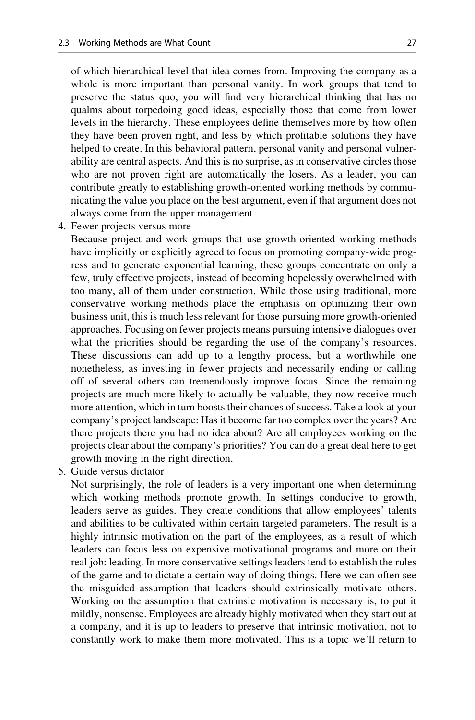of which hierarchical level that idea comes from. Improving the company as a whole is more important than personal vanity. In work groups that tend to preserve the status quo, you will find very hierarchical thinking that has no qualms about torpedoing good ideas, especially those that come from lower levels in the hierarchy. These employees define themselves more by how often they have been proven right, and less by which profitable solutions they have helped to create. In this behavioral pattern, personal vanity and personal vulnerability are central aspects. And this is no surprise, as in conservative circles those who are not proven right are automatically the losers. As a leader, you can contribute greatly to establishing growth-oriented working methods by communicating the value you place on the best argument, even if that argument does not always come from the upper management.

4. Fewer projects versus more

Because project and work groups that use growth-oriented working methods have implicitly or explicitly agreed to focus on promoting company-wide progress and to generate exponential learning, these groups concentrate on only a few, truly effective projects, instead of becoming hopelessly overwhelmed with too many, all of them under construction. While those using traditional, more conservative working methods place the emphasis on optimizing their own business unit, this is much less relevant for those pursuing more growth-oriented approaches. Focusing on fewer projects means pursuing intensive dialogues over what the priorities should be regarding the use of the company's resources. These discussions can add up to a lengthy process, but a worthwhile one nonetheless, as investing in fewer projects and necessarily ending or calling off of several others can tremendously improve focus. Since the remaining projects are much more likely to actually be valuable, they now receive much more attention, which in turn boosts their chances of success. Take a look at your company's project landscape: Has it become far too complex over the years? Are there projects there you had no idea about? Are all employees working on the projects clear about the company's priorities? You can do a great deal here to get growth moving in the right direction.

5. Guide versus dictator

Not surprisingly, the role of leaders is a very important one when determining which working methods promote growth. In settings conducive to growth, leaders serve as guides. They create conditions that allow employees' talents and abilities to be cultivated within certain targeted parameters. The result is a highly intrinsic motivation on the part of the employees, as a result of which leaders can focus less on expensive motivational programs and more on their real job: leading. In more conservative settings leaders tend to establish the rules of the game and to dictate a certain way of doing things. Here we can often see the misguided assumption that leaders should extrinsically motivate others. Working on the assumption that extrinsic motivation is necessary is, to put it mildly, nonsense. Employees are already highly motivated when they start out at a company, and it is up to leaders to preserve that intrinsic motivation, not to constantly work to make them more motivated. This is a topic we'll return to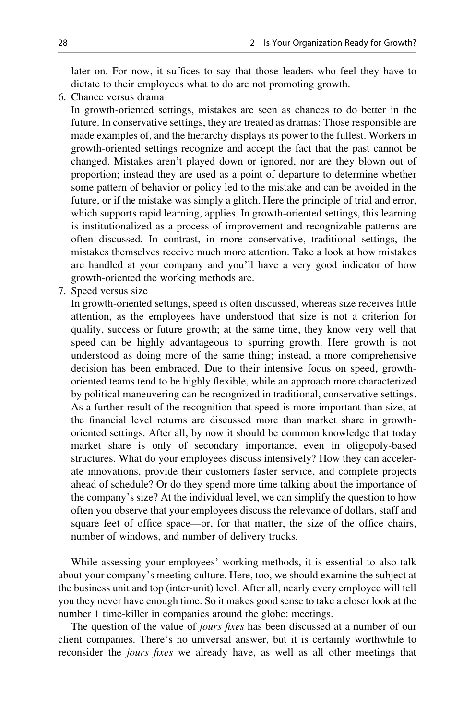later on. For now, it suffices to say that those leaders who feel they have to dictate to their employees what to do are not promoting growth.

6. Chance versus drama

In growth-oriented settings, mistakes are seen as chances to do better in the future. In conservative settings, they are treated as dramas: Those responsible are made examples of, and the hierarchy displays its power to the fullest. Workers in growth-oriented settings recognize and accept the fact that the past cannot be changed. Mistakes aren't played down or ignored, nor are they blown out of proportion; instead they are used as a point of departure to determine whether some pattern of behavior or policy led to the mistake and can be avoided in the future, or if the mistake was simply a glitch. Here the principle of trial and error, which supports rapid learning, applies. In growth-oriented settings, this learning is institutionalized as a process of improvement and recognizable patterns are often discussed. In contrast, in more conservative, traditional settings, the mistakes themselves receive much more attention. Take a look at how mistakes are handled at your company and you'll have a very good indicator of how growth-oriented the working methods are.

7. Speed versus size

In growth-oriented settings, speed is often discussed, whereas size receives little attention, as the employees have understood that size is not a criterion for quality, success or future growth; at the same time, they know very well that speed can be highly advantageous to spurring growth. Here growth is not understood as doing more of the same thing; instead, a more comprehensive decision has been embraced. Due to their intensive focus on speed, growthoriented teams tend to be highly flexible, while an approach more characterized by political maneuvering can be recognized in traditional, conservative settings. As a further result of the recognition that speed is more important than size, at the financial level returns are discussed more than market share in growthoriented settings. After all, by now it should be common knowledge that today market share is only of secondary importance, even in oligopoly-based structures. What do your employees discuss intensively? How they can accelerate innovations, provide their customers faster service, and complete projects ahead of schedule? Or do they spend more time talking about the importance of the company's size? At the individual level, we can simplify the question to how often you observe that your employees discuss the relevance of dollars, staff and square feet of office space—or, for that matter, the size of the office chairs, number of windows, and number of delivery trucks.

While assessing your employees' working methods, it is essential to also talk about your company's meeting culture. Here, too, we should examine the subject at the business unit and top (inter-unit) level. After all, nearly every employee will tell you they never have enough time. So it makes good sense to take a closer look at the number 1 time-killer in companies around the globe: meetings.

The question of the value of *jours fixes* has been discussed at a number of our client companies. There's no universal answer, but it is certainly worthwhile to reconsider the jours fixes we already have, as well as all other meetings that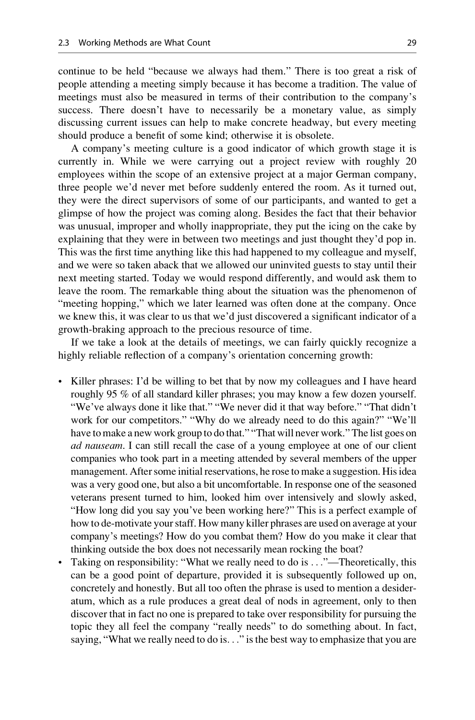continue to be held "because we always had them." There is too great a risk of people attending a meeting simply because it has become a tradition. The value of meetings must also be measured in terms of their contribution to the company's success. There doesn't have to necessarily be a monetary value, as simply discussing current issues can help to make concrete headway, but every meeting should produce a benefit of some kind; otherwise it is obsolete.

A company's meeting culture is a good indicator of which growth stage it is currently in. While we were carrying out a project review with roughly 20 employees within the scope of an extensive project at a major German company, three people we'd never met before suddenly entered the room. As it turned out, they were the direct supervisors of some of our participants, and wanted to get a glimpse of how the project was coming along. Besides the fact that their behavior was unusual, improper and wholly inappropriate, they put the icing on the cake by explaining that they were in between two meetings and just thought they'd pop in. This was the first time anything like this had happened to my colleague and myself, and we were so taken aback that we allowed our uninvited guests to stay until their next meeting started. Today we would respond differently, and would ask them to leave the room. The remarkable thing about the situation was the phenomenon of "meeting hopping," which we later learned was often done at the company. Once we knew this, it was clear to us that we'd just discovered a significant indicator of a growth-braking approach to the precious resource of time.

If we take a look at the details of meetings, we can fairly quickly recognize a highly reliable reflection of a company's orientation concerning growth:

- Killer phrases: I'd be willing to bet that by now my colleagues and I have heard roughly 95 % of all standard killer phrases; you may know a few dozen yourself. "We've always done it like that." "We never did it that way before." "That didn't work for our competitors." "Why do we already need to do this again?" "We'll have to make a new work group to do that." "That will never work." The list goes on ad nauseam. I can still recall the case of a young employee at one of our client companies who took part in a meeting attended by several members of the upper management. After some initial reservations, he rose to make a suggestion. His idea was a very good one, but also a bit uncomfortable. In response one of the seasoned veterans present turned to him, looked him over intensively and slowly asked, "How long did you say you've been working here?" This is a perfect example of how to de-motivate your staff. How many killer phrases are used on average at your company's meetings? How do you combat them? How do you make it clear that thinking outside the box does not necessarily mean rocking the boat?
- Taking on responsibility: "What we really need to do is ..."—Theoretically, this can be a good point of departure, provided it is subsequently followed up on, concretely and honestly. But all too often the phrase is used to mention a desideratum, which as a rule produces a great deal of nods in agreement, only to then discover that in fact no one is prepared to take over responsibility for pursuing the topic they all feel the company "really needs" to do something about. In fact, saying, "What we really need to do is..." is the best way to emphasize that you are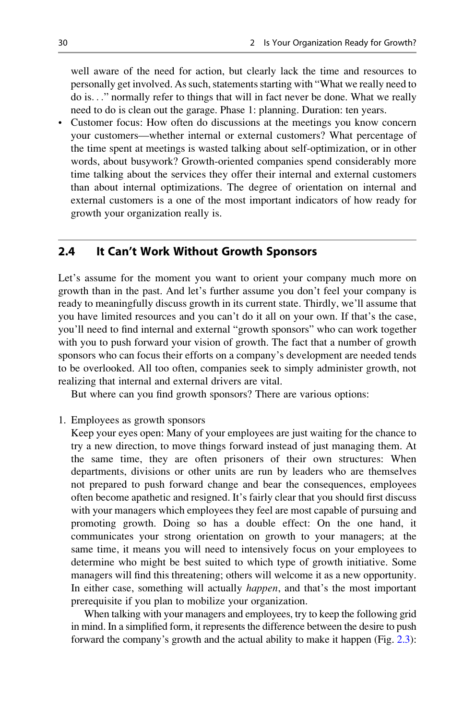well aware of the need for action, but clearly lack the time and resources to personally get involved. As such, statements starting with "What we really need to do is..." normally refer to things that will in fact never be done. What we really need to do is clean out the garage. Phase 1: planning. Duration: ten years.

• Customer focus: How often do discussions at the meetings you know concern your customers—whether internal or external customers? What percentage of the time spent at meetings is wasted talking about self-optimization, or in other words, about busywork? Growth-oriented companies spend considerably more time talking about the services they offer their internal and external customers than about internal optimizations. The degree of orientation on internal and external customers is a one of the most important indicators of how ready for growth your organization really is.

## 2.4 It Can't Work Without Growth Sponsors

Let's assume for the moment you want to orient your company much more on growth than in the past. And let's further assume you don't feel your company is ready to meaningfully discuss growth in its current state. Thirdly, we'll assume that you have limited resources and you can't do it all on your own. If that's the case, you'll need to find internal and external "growth sponsors" who can work together with you to push forward your vision of growth. The fact that a number of growth sponsors who can focus their efforts on a company's development are needed tends to be overlooked. All too often, companies seek to simply administer growth, not realizing that internal and external drivers are vital.

But where can you find growth sponsors? There are various options:

1. Employees as growth sponsors

Keep your eyes open: Many of your employees are just waiting for the chance to try a new direction, to move things forward instead of just managing them. At the same time, they are often prisoners of their own structures: When departments, divisions or other units are run by leaders who are themselves not prepared to push forward change and bear the consequences, employees often become apathetic and resigned. It's fairly clear that you should first discuss with your managers which employees they feel are most capable of pursuing and promoting growth. Doing so has a double effect: On the one hand, it communicates your strong orientation on growth to your managers; at the same time, it means you will need to intensively focus on your employees to determine who might be best suited to which type of growth initiative. Some managers will find this threatening; others will welcome it as a new opportunity. In either case, something will actually *happen*, and that's the most important prerequisite if you plan to mobilize your organization.

When talking with your managers and employees, try to keep the following grid in mind. In a simplified form, it represents the difference between the desire to push forward the company's growth and the actual ability to make it happen (Fig. [2.3\)](#page-12-0):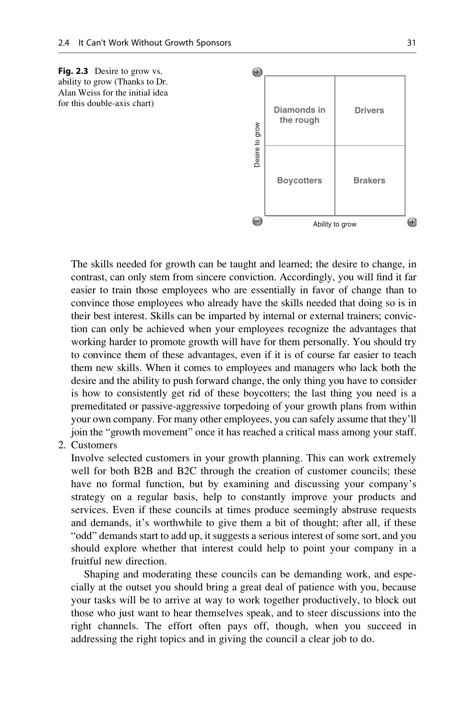<span id="page-12-0"></span>



The skills needed for growth can be taught and learned; the desire to change, in contrast, can only stem from sincere conviction. Accordingly, you will find it far easier to train those employees who are essentially in favor of change than to convince those employees who already have the skills needed that doing so is in their best interest. Skills can be imparted by internal or external trainers; conviction can only be achieved when your employees recognize the advantages that working harder to promote growth will have for them personally. You should try to convince them of these advantages, even if it is of course far easier to teach them new skills. When it comes to employees and managers who lack both the desire and the ability to push forward change, the only thing you have to consider is how to consistently get rid of these boycotters; the last thing you need is a premeditated or passive-aggressive torpedoing of your growth plans from within your own company. For many other employees, you can safely assume that they'll join the "growth movement" once it has reached a critical mass among your staff.

2. Customers

Involve selected customers in your growth planning. This can work extremely well for both B2B and B2C through the creation of customer councils; these have no formal function, but by examining and discussing your company's strategy on a regular basis, help to constantly improve your products and services. Even if these councils at times produce seemingly abstruse requests and demands, it's worthwhile to give them a bit of thought; after all, if these "odd" demands start to add up, it suggests a serious interest of some sort, and you should explore whether that interest could help to point your company in a fruitful new direction.

Shaping and moderating these councils can be demanding work, and especially at the outset you should bring a great deal of patience with you, because your tasks will be to arrive at way to work together productively, to block out those who just want to hear themselves speak, and to steer discussions into the right channels. The effort often pays off, though, when you succeed in addressing the right topics and in giving the council a clear job to do.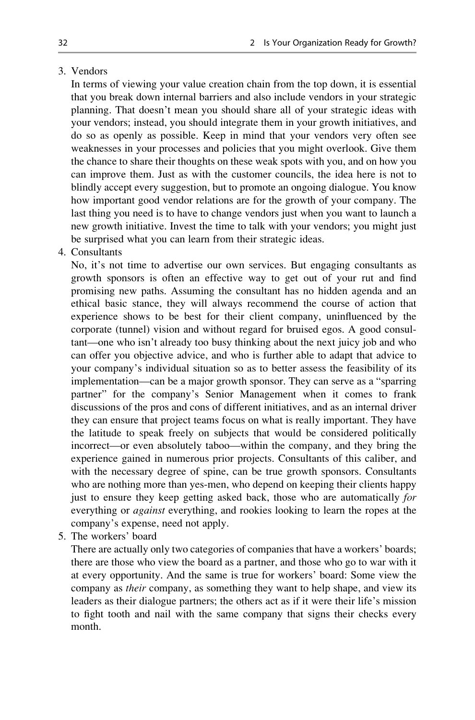#### 3. Vendors

In terms of viewing your value creation chain from the top down, it is essential that you break down internal barriers and also include vendors in your strategic planning. That doesn't mean you should share all of your strategic ideas with your vendors; instead, you should integrate them in your growth initiatives, and do so as openly as possible. Keep in mind that your vendors very often see weaknesses in your processes and policies that you might overlook. Give them the chance to share their thoughts on these weak spots with you, and on how you can improve them. Just as with the customer councils, the idea here is not to blindly accept every suggestion, but to promote an ongoing dialogue. You know how important good vendor relations are for the growth of your company. The last thing you need is to have to change vendors just when you want to launch a new growth initiative. Invest the time to talk with your vendors; you might just be surprised what you can learn from their strategic ideas.

#### 4. Consultants

No, it's not time to advertise our own services. But engaging consultants as growth sponsors is often an effective way to get out of your rut and find promising new paths. Assuming the consultant has no hidden agenda and an ethical basic stance, they will always recommend the course of action that experience shows to be best for their client company, uninfluenced by the corporate (tunnel) vision and without regard for bruised egos. A good consultant—one who isn't already too busy thinking about the next juicy job and who can offer you objective advice, and who is further able to adapt that advice to your company's individual situation so as to better assess the feasibility of its implementation—can be a major growth sponsor. They can serve as a "sparring partner" for the company's Senior Management when it comes to frank discussions of the pros and cons of different initiatives, and as an internal driver they can ensure that project teams focus on what is really important. They have the latitude to speak freely on subjects that would be considered politically incorrect—or even absolutely taboo—within the company, and they bring the experience gained in numerous prior projects. Consultants of this caliber, and with the necessary degree of spine, can be true growth sponsors. Consultants who are nothing more than yes-men, who depend on keeping their clients happy just to ensure they keep getting asked back, those who are automatically for everything or *against* everything, and rookies looking to learn the ropes at the company's expense, need not apply.

5. The workers' board

There are actually only two categories of companies that have a workers' boards; there are those who view the board as a partner, and those who go to war with it at every opportunity. And the same is true for workers' board: Some view the company as *their* company, as something they want to help shape, and view its leaders as their dialogue partners; the others act as if it were their life's mission to fight tooth and nail with the same company that signs their checks every month.